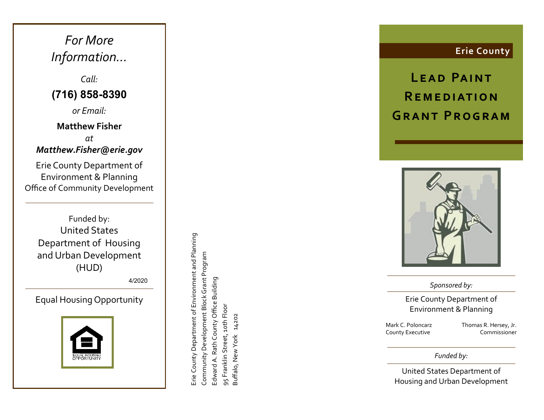*For More Information …*

*Call:* **(716) 858 -8390**

*or Email:*

#### **Matthew Fisher**

*at Matthew.Fisher@erie.gov*

Erie County Department of Environment & Planning Office of Community Development

Funded by: United States Department of Housing and Urban Development (HUD)

4/20 2 1

Equal Housing Opportunity



Erie County Department of Environment and Planning Erie County Department of Environment and Planning Community Development Block Grant Program Community Development Block Grant Program Edward A. Rath County Office Building Edward A. Rath County Office Building 95 Franklin Street, 10th Floor 95 Franklin Street, 10th Floor 14202 Buffalo, New York 14202 Buffalo, New York

**Erie County**

LEAD PAINT **R e m e d i at i o n GRANT PROGRAM** 



*Sponsored by:*

Erie County Department of Environment & Planning

Mark C. Poloncarz County Executive

Daniel R. Castle Deputy Commissioner

*Funded by:*

United States Department of Housing and Urban Development